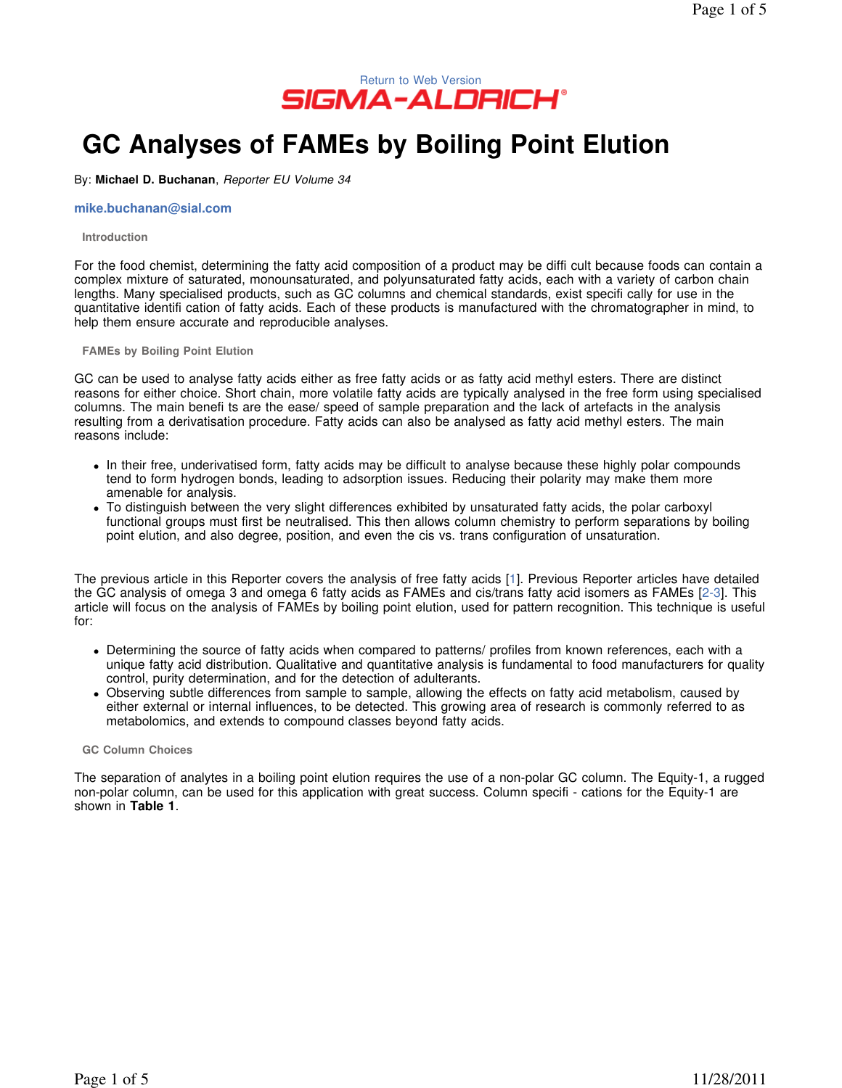

# **GC Analyses of FAMEs by Boiling Point Elution**

By: **Michael D. Buchanan**, Reporter EU Volume 34

## **mike.buchanan@sial.com**

#### **Introduction**

For the food chemist, determining the fatty acid composition of a product may be diffi cult because foods can contain a complex mixture of saturated, monounsaturated, and polyunsaturated fatty acids, each with a variety of carbon chain lengths. Many specialised products, such as GC columns and chemical standards, exist specifi cally for use in the quantitative identifi cation of fatty acids. Each of these products is manufactured with the chromatographer in mind, to help them ensure accurate and reproducible analyses.

**FAMEs by Boiling Point Elution** 

GC can be used to analyse fatty acids either as free fatty acids or as fatty acid methyl esters. There are distinct reasons for either choice. Short chain, more volatile fatty acids are typically analysed in the free form using specialised columns. The main benefi ts are the ease/ speed of sample preparation and the lack of artefacts in the analysis resulting from a derivatisation procedure. Fatty acids can also be analysed as fatty acid methyl esters. The main reasons include:

- In their free, underivatised form, fatty acids may be difficult to analyse because these highly polar compounds tend to form hydrogen bonds, leading to adsorption issues. Reducing their polarity may make them more amenable for analysis.
- To distinguish between the very slight differences exhibited by unsaturated fatty acids, the polar carboxyl functional groups must first be neutralised. This then allows column chemistry to perform separations by boiling point elution, and also degree, position, and even the cis vs. trans configuration of unsaturation.

The previous article in this Reporter covers the analysis of free fatty acids [1]. Previous Reporter articles have detailed the GC analysis of omega 3 and omega 6 fatty acids as FAMEs and cis/trans fatty acid isomers as FAMEs [2-3]. This article will focus on the analysis of FAMEs by boiling point elution, used for pattern recognition. This technique is useful for:

- Determining the source of fatty acids when compared to patterns/ profiles from known references, each with a unique fatty acid distribution. Qualitative and quantitative analysis is fundamental to food manufacturers for quality control, purity determination, and for the detection of adulterants.
- Observing subtle differences from sample to sample, allowing the effects on fatty acid metabolism, caused by either external or internal influences, to be detected. This growing area of research is commonly referred to as metabolomics, and extends to compound classes beyond fatty acids.

#### **GC Column Choices**

The separation of analytes in a boiling point elution requires the use of a non-polar GC column. The Equity-1, a rugged non-polar column, can be used for this application with great success. Column specifi - cations for the Equity-1 are shown in **Table 1**.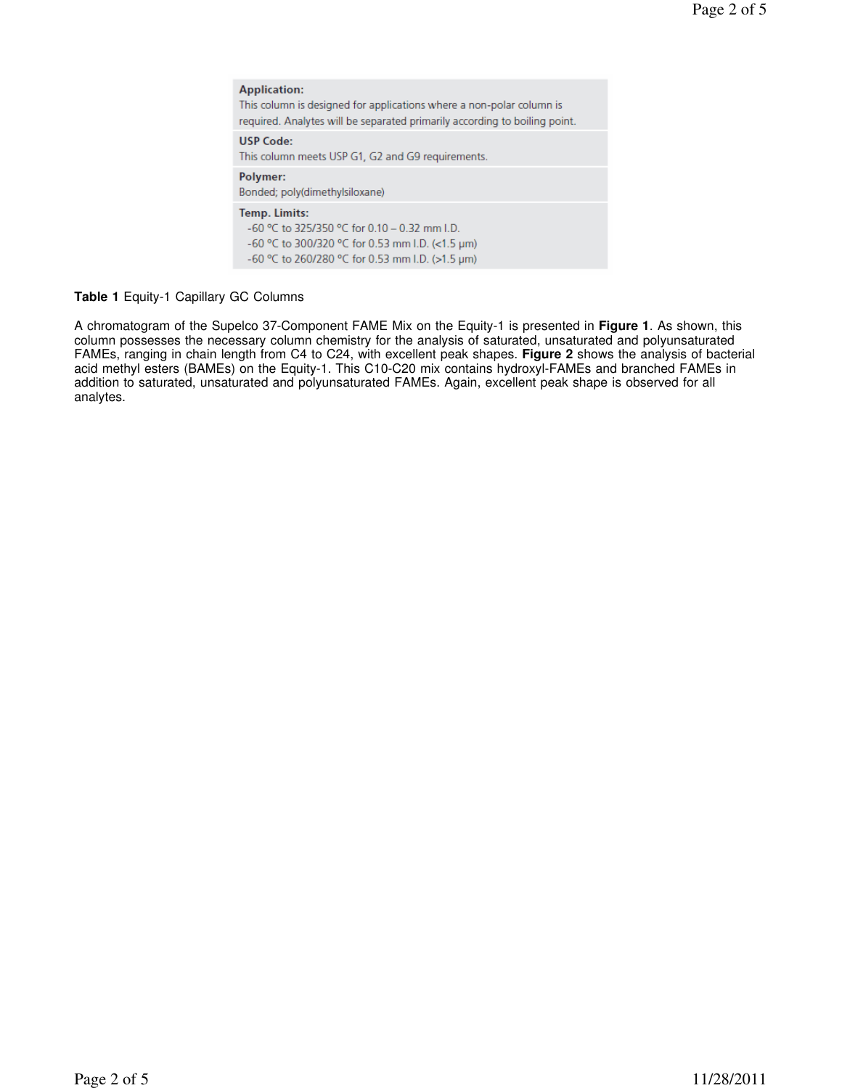**Application:** This column is designed for applications where a non-polar column is required. Analytes will be separated primarily according to boiling point. **USP Code:** This column meets USP G1, G2 and G9 requirements. Polymer: Bonded; poly(dimethylsiloxane) Temp. Limits: -60 °C to 325/350 °C for 0.10 - 0.32 mm I.D. -60 °C to 300/320 °C for 0.53 mm I.D. (<1.5 µm) -60 °C to 260/280 °C for 0.53 mm I.D. (>1.5 µm)

## **Table 1** Equity-1 Capillary GC Columns

A chromatogram of the Supelco 37-Component FAME Mix on the Equity-1 is presented in **Figure 1**. As shown, this column possesses the necessary column chemistry for the analysis of saturated, unsaturated and polyunsaturated FAMEs, ranging in chain length from C4 to C24, with excellent peak shapes. **Figure 2** shows the analysis of bacterial acid methyl esters (BAMEs) on the Equity-1. This C10-C20 mix contains hydroxyl-FAMEs and branched FAMEs in addition to saturated, unsaturated and polyunsaturated FAMEs. Again, excellent peak shape is observed for all analytes.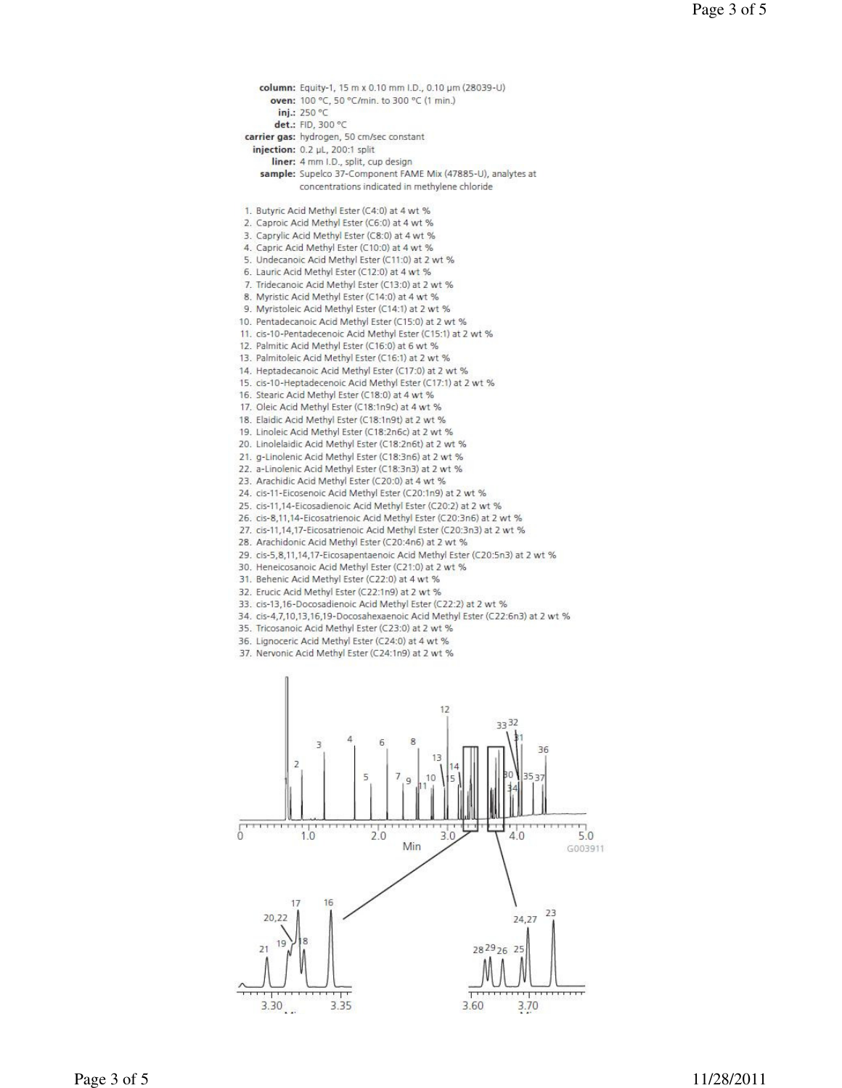column: Equity-1, 15 m x 0.10 mm I.D., 0.10 um (28039-U) oven: 100 °C, 50 °C/min. to 300 °C (1 min.) inj.: 250 °C det.: FID, 300 °C carrier gas: hydrogen, 50 cm/sec constant injection: 0.2 µL, 200:1 split liner: 4 mm I.D., split, cup design sample: Supelco 37-Component FAME Mix (47885-U), analytes at concentrations indicated in methylene chloride 1. Butyric Acid Methyl Ester (C4:0) at 4 wt % 2. Caproic Acid Methyl Ester (C6:0) at 4 wt % 3. Caprylic Acid Methyl Ester (C8:0) at 4 wt % 4. Capric Acid Methyl Ester (C10:0) at 4 wt % 5. Undecanoic Acid Methyl Ester (C11:0) at 2 wt % 6. Lauric Acid Methyl Ester (C12:0) at 4 wt % 7. Tridecanoic Acid Methyl Ester (C13:0) at 2 wt % 8. Myristic Acid Methyl Ester (C14:0) at 4 wt % 9. Myristoleic Acid Methyl Ester (C14:1) at 2 wt % 10. Pentadecanoic Acid Methyl Ester (C15:0) at 2 wt % 11. cis-10-Pentadecenoic Acid Methyl Ester (C15:1) at 2 wt % 12. Palmitic Acid Methyl Ester (C16:0) at 6 wt % 13. Palmitoleic Acid Methyl Ester (C16:1) at 2 wt % 14. Heptadecanoic Acid Methyl Ester (C17:0) at 2 wt % 15. cis-10-Heptadecenoic Acid Methyl Ester (C17:1) at 2 wt % 16. Stearic Acid Methyl Ester (C18:0) at 4 wt % 17. Oleic Acid Methyl Ester (C18:1n9c) at 4 wt % 18. Elaidic Acid Methyl Ester (C18:1n9t) at 2 wt % 19. Linoleic Acid Methyl Ester (C18:2n6c) at 2 wt % 20. Linolelaidic Acid Methyl Ester (C18:2n6t) at 2 wt % 21. g-Linolenic Acid Methyl Ester (C18:3n6) at 2 wt % 22. a-Linolenic Acid Methyl Ester (C18:3n3) at 2 wt % 23. Arachidic Acid Methyl Ester (C20:0) at 4 wt % 24. cis-11-Eicosenoic Acid Methyl Ester (C20:1n9) at 2 wt % 25. cis-11,14-Eicosadienoic Acid Methyl Ester (C20:2) at 2 wt % 26. cis-8,11,14-Eicosatrienoic Acid Methyl Ester (C20:3n6) at 2 wt % 27. cis-11,14,17-Eicosatrienoic Acid Methyl Ester (C20:3n3) at 2 wt % 28. Arachidonic Acid Methyl Ester (C20:4n6) at 2 wt % 29. cis-5,8,11,14,17-Eicosapentaenoic Acid Methyl Ester (C20:5n3) at 2 wt % 30. Heneicosanoic Acid Methyl Ester (C21:0) at 2 wt % 31. Behenic Acid Methyl Ester (C22:0) at 4 wt % 32. Erucic Acid Methyl Ester (C22:1n9) at 2 wt % 33. cis-13,16-Docosadienoic Acid Methyl Ester (C22:2) at 2 wt % 34. cis-4,7,10,13,16,19-Docosahexaenoic Acid Methyl Ester (C22:6n3) at 2 wt % 35. Tricosanoic Acid Methyl Ester (C23:0) at 2 wt % 36. Lignoceric Acid Methyl Ester (C24:0) at 4 wt % 37. Nervonic Acid Methyl Ester (C24:1n9) at 2 wt % 12  $2232$ 36 D Ę  $\sqrt{ }$  $10$  $20$  $3.0$  $4.0$ Min

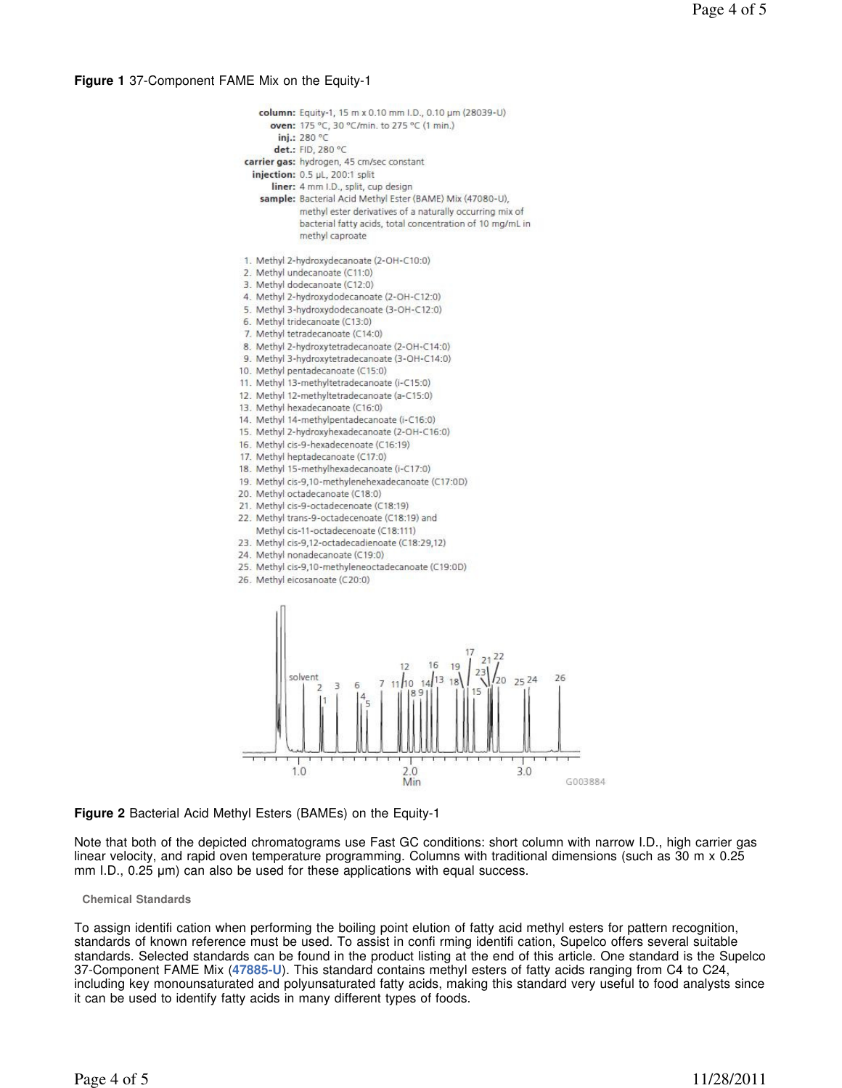## **Figure 1** 37-Component FAME Mix on the Equity-1





# **Figure 2** Bacterial Acid Methyl Esters (BAMEs) on the Equity-1

Note that both of the depicted chromatograms use Fast GC conditions: short column with narrow I.D., high carrier gas linear velocity, and rapid oven temperature programming. Columns with traditional dimensions (such as 30 m x 0.25 mm I.D., 0.25  $\mu$ m) can also be used for these applications with equal success.

## **Chemical Standards**

To assign identifi cation when performing the boiling point elution of fatty acid methyl esters for pattern recognition, standards of known reference must be used. To assist in confi rming identifi cation, Supelco offers several suitable standards. Selected standards can be found in the product listing at the end of this article. One standard is the Supelco 37-Component FAME Mix (**47885-U**). This standard contains methyl esters of fatty acids ranging from C4 to C24, including key monounsaturated and polyunsaturated fatty acids, making this standard very useful to food analysts since it can be used to identify fatty acids in many different types of foods.